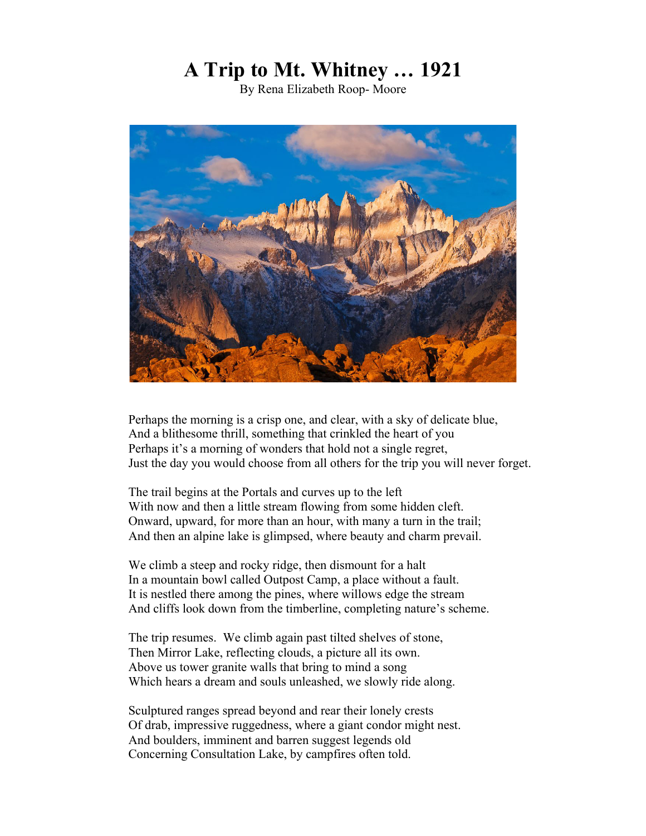## **A Trip to Mt. Whitney … 1921**

By Rena Elizabeth Roop- Moore



Perhaps the morning is a crisp one, and clear, with a sky of delicate blue, And a blithesome thrill, something that crinkled the heart of you Perhaps it's a morning of wonders that hold not a single regret, Just the day you would choose from all others for the trip you will never forget.

The trail begins at the Portals and curves up to the left With now and then a little stream flowing from some hidden cleft. Onward, upward, for more than an hour, with many a turn in the trail; And then an alpine lake is glimpsed, where beauty and charm prevail.

We climb a steep and rocky ridge, then dismount for a halt In a mountain bowl called Outpost Camp, a place without a fault. It is nestled there among the pines, where willows edge the stream And cliffs look down from the timberline, completing nature's scheme.

The trip resumes. We climb again past tilted shelves of stone, Then Mirror Lake, reflecting clouds, a picture all its own. Above us tower granite walls that bring to mind a song Which hears a dream and souls unleashed, we slowly ride along.

Sculptured ranges spread beyond and rear their lonely crests Of drab, impressive ruggedness, where a giant condor might nest. And boulders, imminent and barren suggest legends old Concerning Consultation Lake, by campfires often told.